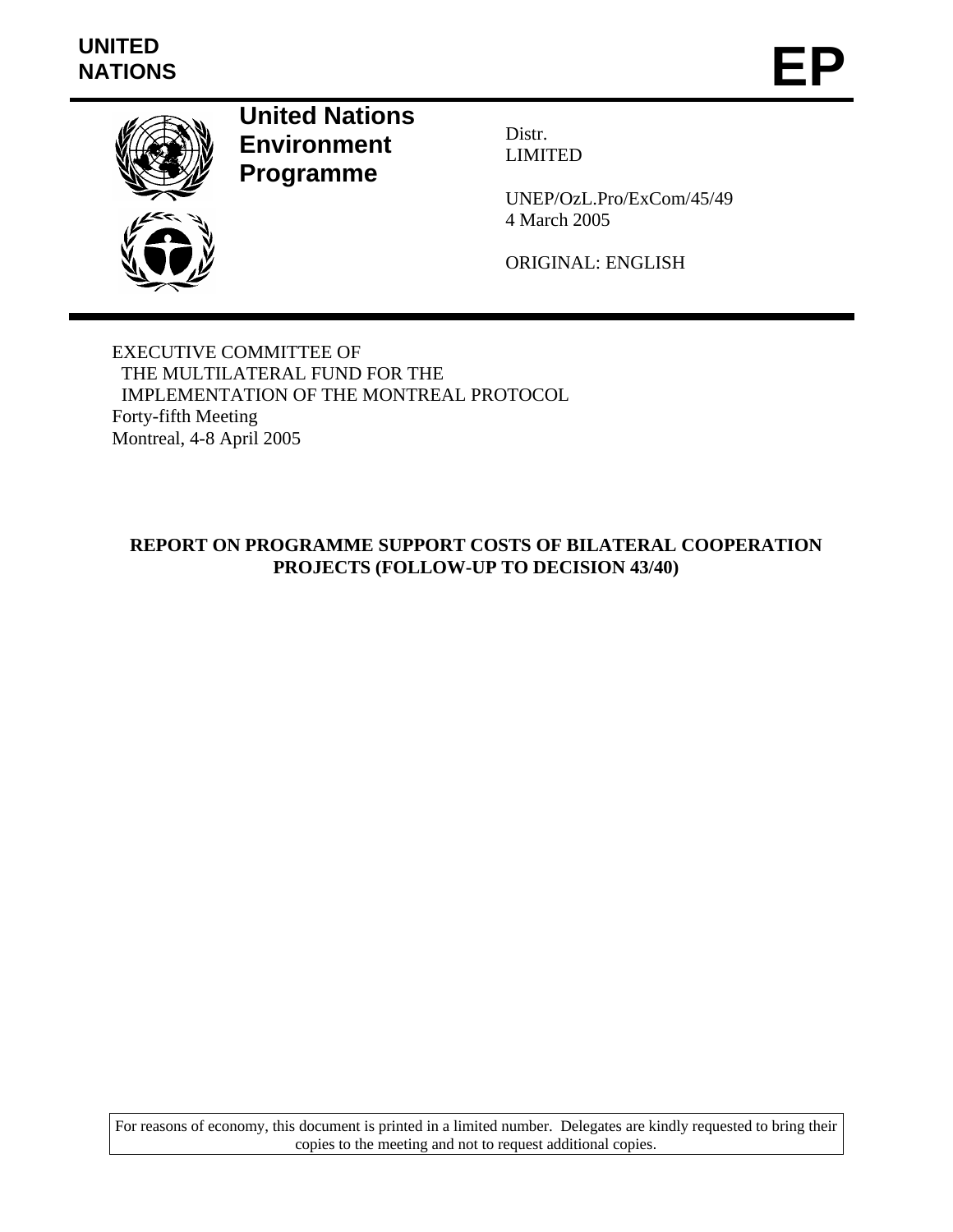# **UNITED**  UNITED<br>NATIONS **EP**



**United Nations Environment Programme** 

Distr. LIMITED

UNEP/OzL.Pro/ExCom/45/49 4 March 2005

ORIGINAL: ENGLISH

EXECUTIVE COMMITTEE OF THE MULTILATERAL FUND FOR THE IMPLEMENTATION OF THE MONTREAL PROTOCOL Forty-fifth Meeting Montreal, 4-8 April 2005

## **REPORT ON PROGRAMME SUPPORT COSTS OF BILATERAL COOPERATION PROJECTS (FOLLOW-UP TO DECISION 43/40)**

For reasons of economy, this document is printed in a limited number. Delegates are kindly requested to bring their copies to the meeting and not to request additional copies.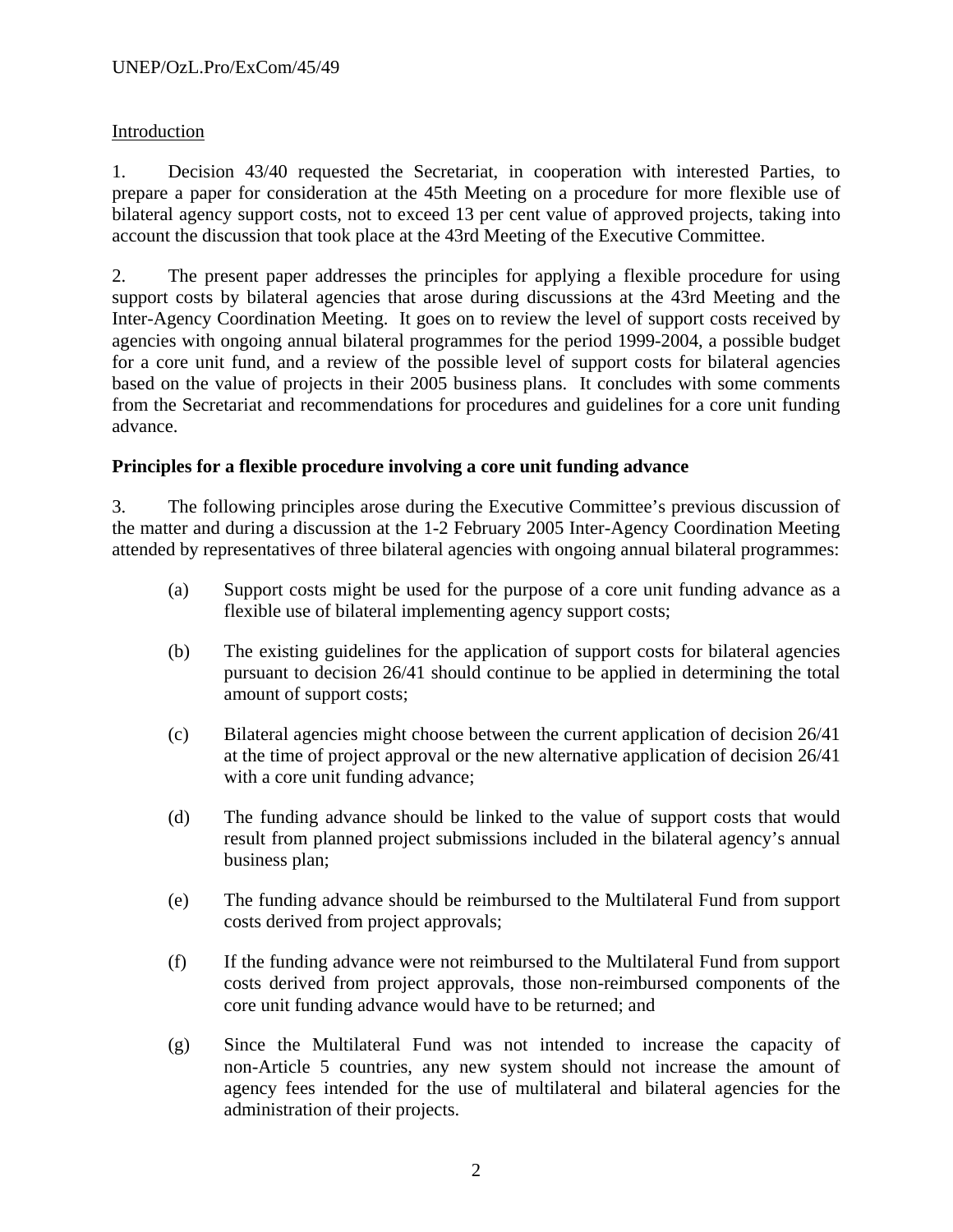## Introduction

1. Decision 43/40 requested the Secretariat, in cooperation with interested Parties, to prepare a paper for consideration at the 45th Meeting on a procedure for more flexible use of bilateral agency support costs, not to exceed 13 per cent value of approved projects, taking into account the discussion that took place at the 43rd Meeting of the Executive Committee.

2. The present paper addresses the principles for applying a flexible procedure for using support costs by bilateral agencies that arose during discussions at the 43rd Meeting and the Inter-Agency Coordination Meeting. It goes on to review the level of support costs received by agencies with ongoing annual bilateral programmes for the period 1999-2004, a possible budget for a core unit fund, and a review of the possible level of support costs for bilateral agencies based on the value of projects in their 2005 business plans. It concludes with some comments from the Secretariat and recommendations for procedures and guidelines for a core unit funding advance.

## **Principles for a flexible procedure involving a core unit funding advance**

3. The following principles arose during the Executive Committee's previous discussion of the matter and during a discussion at the 1-2 February 2005 Inter-Agency Coordination Meeting attended by representatives of three bilateral agencies with ongoing annual bilateral programmes:

- (a) Support costs might be used for the purpose of a core unit funding advance as a flexible use of bilateral implementing agency support costs;
- (b) The existing guidelines for the application of support costs for bilateral agencies pursuant to decision 26/41 should continue to be applied in determining the total amount of support costs;
- (c) Bilateral agencies might choose between the current application of decision 26/41 at the time of project approval or the new alternative application of decision 26/41 with a core unit funding advance;
- (d) The funding advance should be linked to the value of support costs that would result from planned project submissions included in the bilateral agency's annual business plan;
- (e) The funding advance should be reimbursed to the Multilateral Fund from support costs derived from project approvals;
- (f) If the funding advance were not reimbursed to the Multilateral Fund from support costs derived from project approvals, those non-reimbursed components of the core unit funding advance would have to be returned; and
- (g) Since the Multilateral Fund was not intended to increase the capacity of non-Article 5 countries, any new system should not increase the amount of agency fees intended for the use of multilateral and bilateral agencies for the administration of their projects.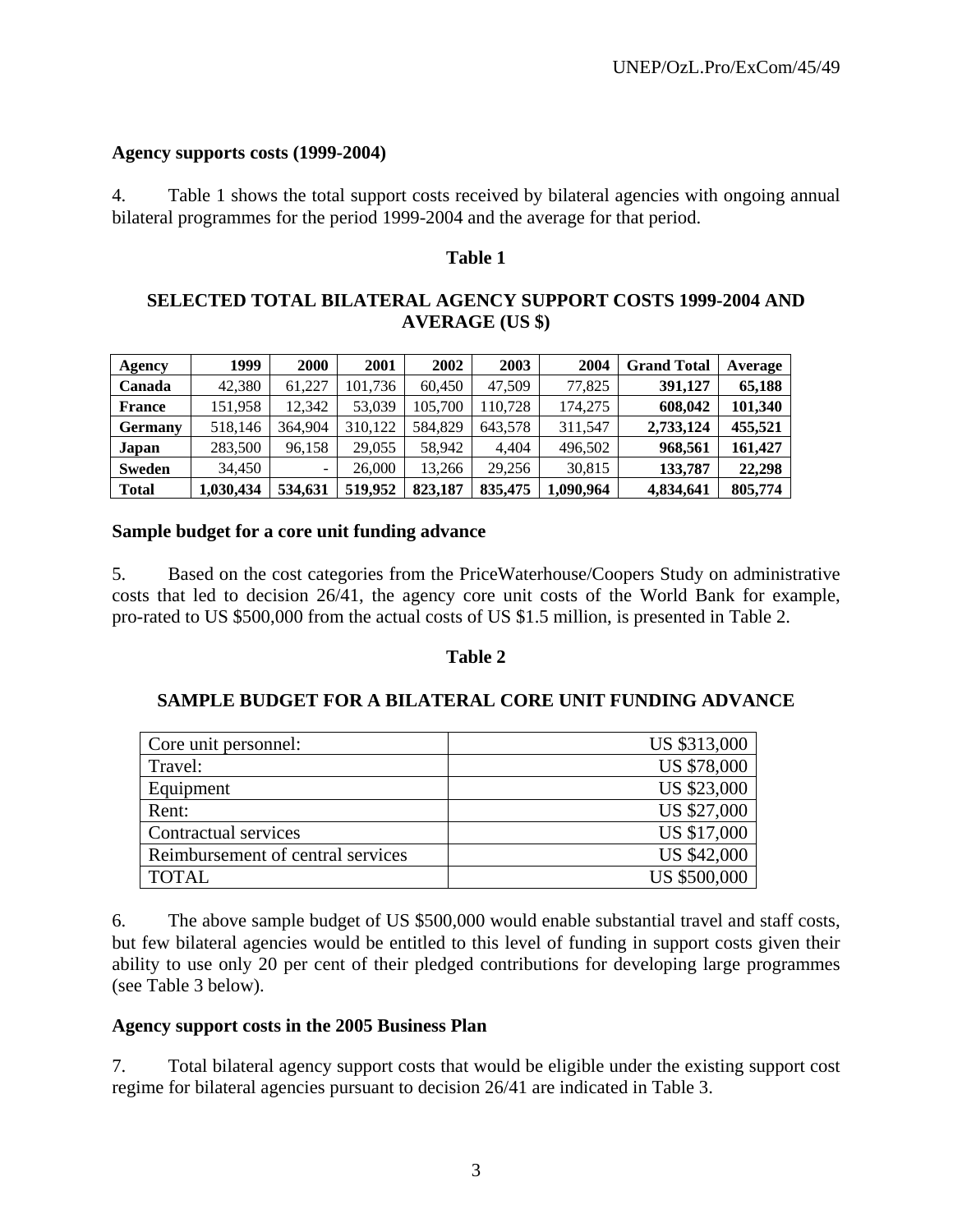#### **Agency supports costs (1999-2004)**

4. Table 1 shows the total support costs received by bilateral agencies with ongoing annual bilateral programmes for the period 1999-2004 and the average for that period.

#### **Table 1**

## **SELECTED TOTAL BILATERAL AGENCY SUPPORT COSTS 1999-2004 AND AVERAGE (US \$)**

| Agency         | 1999      | 2000    | 2001    | 2002    | 2003    | 2004      | <b>Grand Total</b> | Average |
|----------------|-----------|---------|---------|---------|---------|-----------|--------------------|---------|
| Canada         | 42,380    | 61.227  | 101.736 | 60.450  | 47.509  | 77.825    | 391,127            | 65,188  |
| <b>France</b>  | 151.958   | 12.342  | 53,039  | 105.700 | 110.728 | 174,275   | 608,042            | 101,340 |
| <b>Germany</b> | 518,146   | 364,904 | 310.122 | 584.829 | 643,578 | 311.547   | 2,733,124          | 455.521 |
| Japan          | 283,500   | 96,158  | 29,055  | 58.942  | 4.404   | 496,502   | 968,561            | 161,427 |
| Sweden         | 34.450    |         | 26,000  | 13.266  | 29.256  | 30.815    | 133,787            | 22,298  |
| <b>Total</b>   | 1,030,434 | 534,631 | 519,952 | 823.187 | 835,475 | 1,090,964 | 4,834,641          | 805,774 |

#### **Sample budget for a core unit funding advance**

5. Based on the cost categories from the PriceWaterhouse/Coopers Study on administrative costs that led to decision 26/41, the agency core unit costs of the World Bank for example, pro-rated to US \$500,000 from the actual costs of US \$1.5 million, is presented in Table 2.

#### **Table 2**

## **SAMPLE BUDGET FOR A BILATERAL CORE UNIT FUNDING ADVANCE**

| Core unit personnel:              | US \$313,000        |
|-----------------------------------|---------------------|
| Travel:                           | <b>US \$78,000</b>  |
| Equipment                         | <b>US \$23,000</b>  |
| Rent:                             | <b>US \$27,000</b>  |
| Contractual services              | <b>US \$17,000</b>  |
| Reimbursement of central services | <b>US \$42,000</b>  |
| <b>TOTAL</b>                      | <b>US \$500,000</b> |

6. The above sample budget of US \$500,000 would enable substantial travel and staff costs, but few bilateral agencies would be entitled to this level of funding in support costs given their ability to use only 20 per cent of their pledged contributions for developing large programmes (see Table 3 below).

#### **Agency support costs in the 2005 Business Plan**

7. Total bilateral agency support costs that would be eligible under the existing support cost regime for bilateral agencies pursuant to decision 26/41 are indicated in Table 3.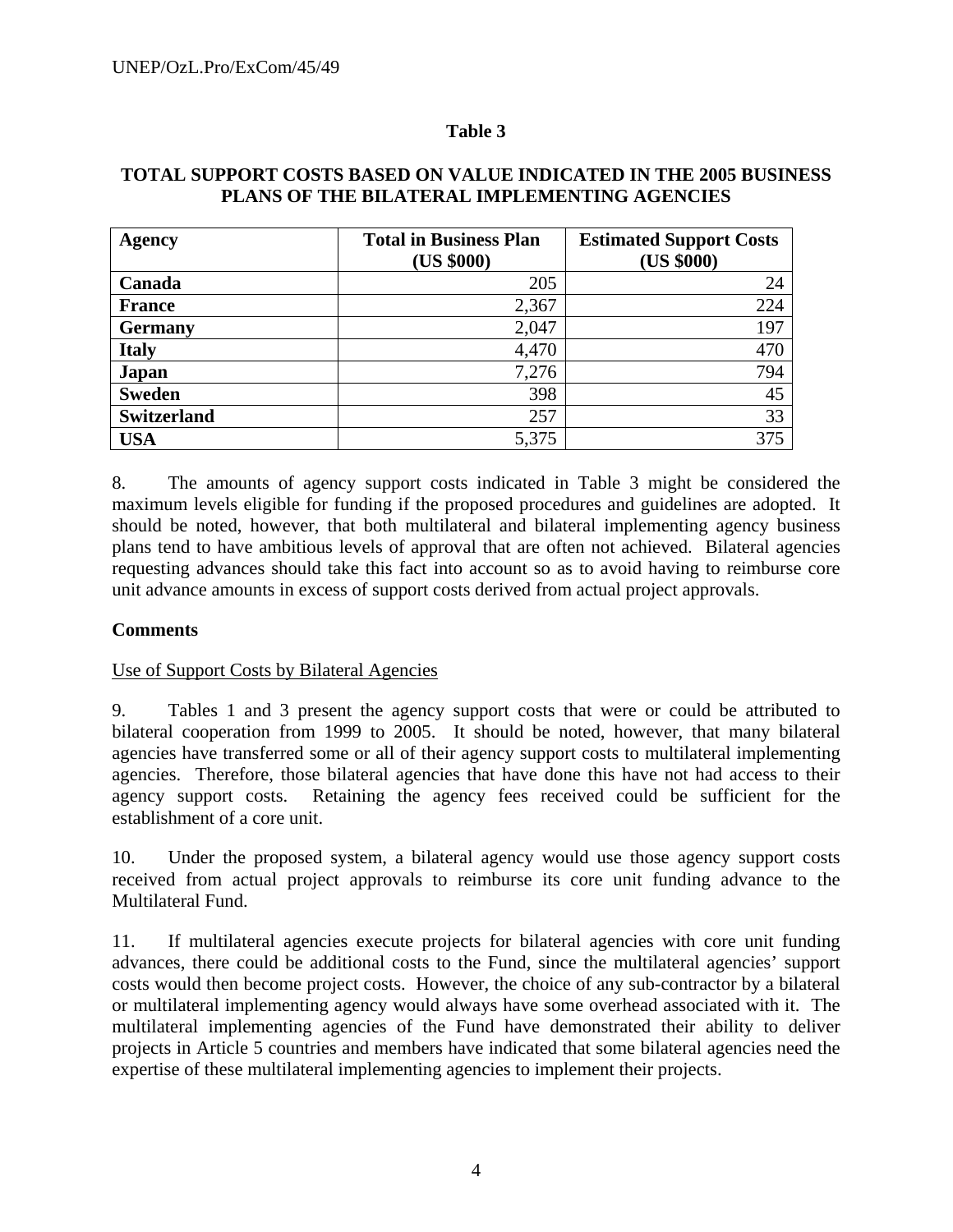#### **Table 3**

#### **TOTAL SUPPORT COSTS BASED ON VALUE INDICATED IN THE 2005 BUSINESS PLANS OF THE BILATERAL IMPLEMENTING AGENCIES**

| Agency             | <b>Total in Business Plan</b> | <b>Estimated Support Costs</b> |
|--------------------|-------------------------------|--------------------------------|
|                    | (US \$000)                    | (US \$000)                     |
| Canada             | 205                           | 24                             |
| <b>France</b>      | 2,367                         | 224                            |
| <b>Germany</b>     | 2,047                         | 197                            |
| <b>Italy</b>       | 4,470                         | 470                            |
| <b>Japan</b>       | 7,276                         | 794                            |
| <b>Sweden</b>      | 398                           | 45                             |
| <b>Switzerland</b> | 257                           | 33                             |
| <b>USA</b>         | 5,375                         | 375                            |

8. The amounts of agency support costs indicated in Table 3 might be considered the maximum levels eligible for funding if the proposed procedures and guidelines are adopted. It should be noted, however, that both multilateral and bilateral implementing agency business plans tend to have ambitious levels of approval that are often not achieved. Bilateral agencies requesting advances should take this fact into account so as to avoid having to reimburse core unit advance amounts in excess of support costs derived from actual project approvals.

#### **Comments**

#### Use of Support Costs by Bilateral Agencies

9. Tables 1 and 3 present the agency support costs that were or could be attributed to bilateral cooperation from 1999 to 2005. It should be noted, however, that many bilateral agencies have transferred some or all of their agency support costs to multilateral implementing agencies. Therefore, those bilateral agencies that have done this have not had access to their agency support costs. Retaining the agency fees received could be sufficient for the establishment of a core unit.

10. Under the proposed system, a bilateral agency would use those agency support costs received from actual project approvals to reimburse its core unit funding advance to the Multilateral Fund.

11. If multilateral agencies execute projects for bilateral agencies with core unit funding advances, there could be additional costs to the Fund, since the multilateral agencies' support costs would then become project costs. However, the choice of any sub-contractor by a bilateral or multilateral implementing agency would always have some overhead associated with it. The multilateral implementing agencies of the Fund have demonstrated their ability to deliver projects in Article 5 countries and members have indicated that some bilateral agencies need the expertise of these multilateral implementing agencies to implement their projects.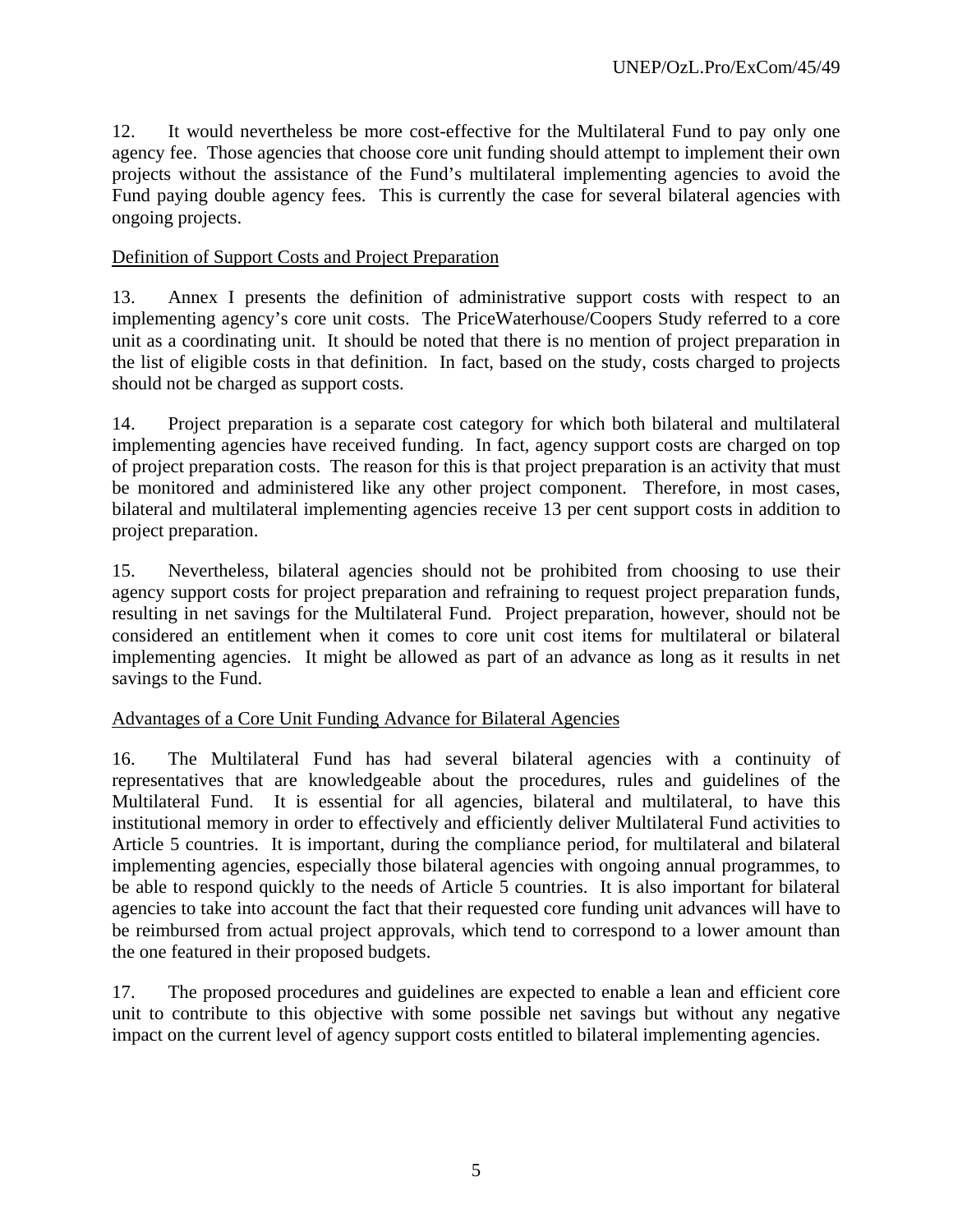12. It would nevertheless be more cost-effective for the Multilateral Fund to pay only one agency fee. Those agencies that choose core unit funding should attempt to implement their own projects without the assistance of the Fund's multilateral implementing agencies to avoid the Fund paying double agency fees. This is currently the case for several bilateral agencies with ongoing projects.

#### Definition of Support Costs and Project Preparation

13. Annex I presents the definition of administrative support costs with respect to an implementing agency's core unit costs. The PriceWaterhouse/Coopers Study referred to a core unit as a coordinating unit. It should be noted that there is no mention of project preparation in the list of eligible costs in that definition. In fact, based on the study, costs charged to projects should not be charged as support costs.

14. Project preparation is a separate cost category for which both bilateral and multilateral implementing agencies have received funding. In fact, agency support costs are charged on top of project preparation costs. The reason for this is that project preparation is an activity that must be monitored and administered like any other project component. Therefore, in most cases, bilateral and multilateral implementing agencies receive 13 per cent support costs in addition to project preparation.

15. Nevertheless, bilateral agencies should not be prohibited from choosing to use their agency support costs for project preparation and refraining to request project preparation funds, resulting in net savings for the Multilateral Fund. Project preparation, however, should not be considered an entitlement when it comes to core unit cost items for multilateral or bilateral implementing agencies. It might be allowed as part of an advance as long as it results in net savings to the Fund.

## Advantages of a Core Unit Funding Advance for Bilateral Agencies

16. The Multilateral Fund has had several bilateral agencies with a continuity of representatives that are knowledgeable about the procedures, rules and guidelines of the Multilateral Fund. It is essential for all agencies, bilateral and multilateral, to have this institutional memory in order to effectively and efficiently deliver Multilateral Fund activities to Article 5 countries. It is important, during the compliance period, for multilateral and bilateral implementing agencies, especially those bilateral agencies with ongoing annual programmes, to be able to respond quickly to the needs of Article 5 countries. It is also important for bilateral agencies to take into account the fact that their requested core funding unit advances will have to be reimbursed from actual project approvals, which tend to correspond to a lower amount than the one featured in their proposed budgets.

17. The proposed procedures and guidelines are expected to enable a lean and efficient core unit to contribute to this objective with some possible net savings but without any negative impact on the current level of agency support costs entitled to bilateral implementing agencies.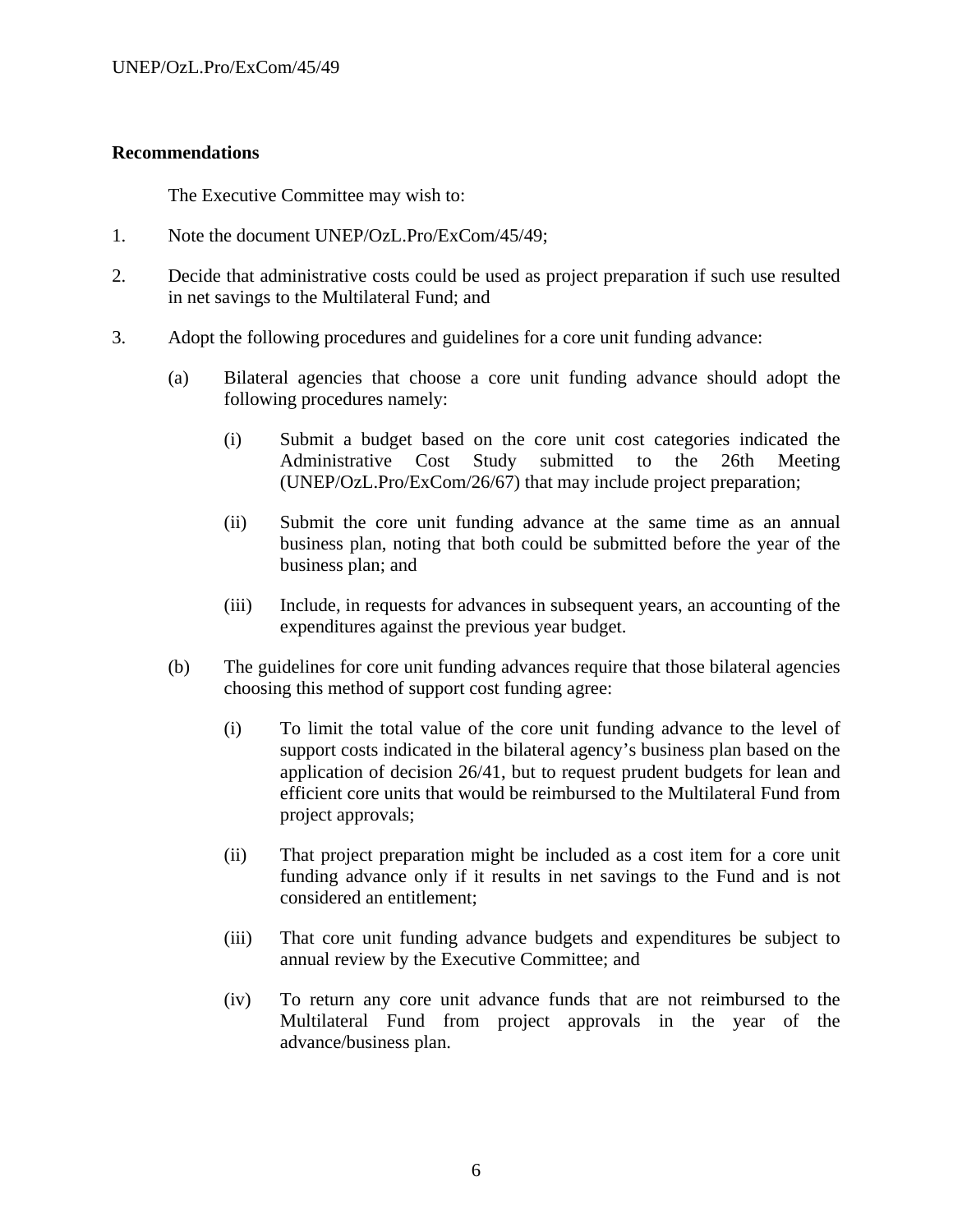#### **Recommendations**

The Executive Committee may wish to:

- 1. Note the document UNEP/OzL.Pro/ExCom/45/49;
- 2. Decide that administrative costs could be used as project preparation if such use resulted in net savings to the Multilateral Fund; and
- 3. Adopt the following procedures and guidelines for a core unit funding advance:
	- (a) Bilateral agencies that choose a core unit funding advance should adopt the following procedures namely:
		- (i) Submit a budget based on the core unit cost categories indicated the Administrative Cost Study submitted to the 26th Meeting (UNEP/OzL.Pro/ExCom/26/67) that may include project preparation;
		- (ii) Submit the core unit funding advance at the same time as an annual business plan, noting that both could be submitted before the year of the business plan; and
		- (iii) Include, in requests for advances in subsequent years, an accounting of the expenditures against the previous year budget.
	- (b) The guidelines for core unit funding advances require that those bilateral agencies choosing this method of support cost funding agree:
		- (i) To limit the total value of the core unit funding advance to the level of support costs indicated in the bilateral agency's business plan based on the application of decision 26/41, but to request prudent budgets for lean and efficient core units that would be reimbursed to the Multilateral Fund from project approvals;
		- (ii) That project preparation might be included as a cost item for a core unit funding advance only if it results in net savings to the Fund and is not considered an entitlement;
		- (iii) That core unit funding advance budgets and expenditures be subject to annual review by the Executive Committee; and
		- (iv) To return any core unit advance funds that are not reimbursed to the Multilateral Fund from project approvals in the year of the advance/business plan.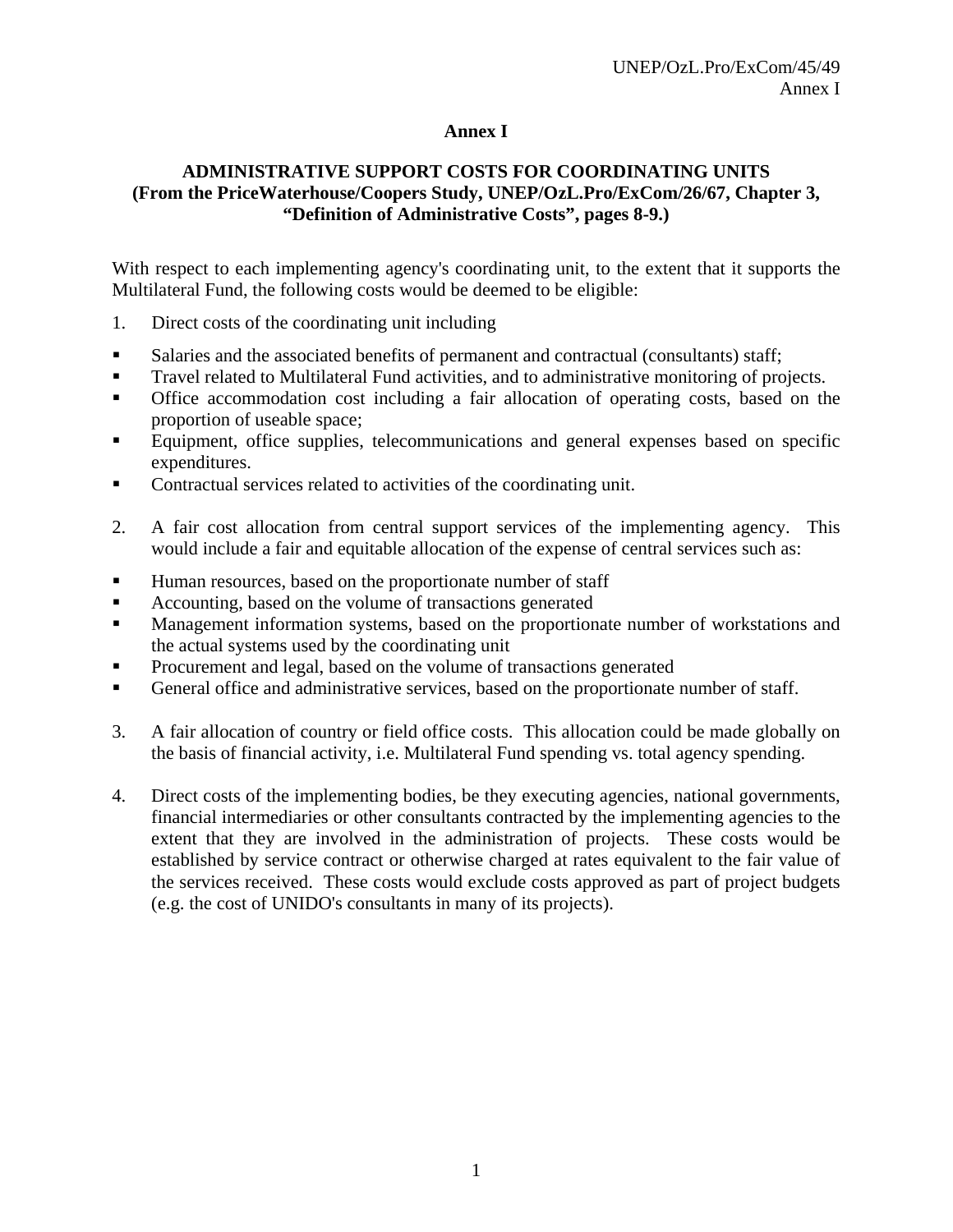## **Annex I**

## **ADMINISTRATIVE SUPPORT COSTS FOR COORDINATING UNITS (From the PriceWaterhouse/Coopers Study, UNEP/OzL.Pro/ExCom/26/67, Chapter 3, "Definition of Administrative Costs", pages 8-9.)**

With respect to each implementing agency's coordinating unit, to the extent that it supports the Multilateral Fund, the following costs would be deemed to be eligible:

- 1. Direct costs of the coordinating unit including
- **Salaries and the associated benefits of permanent and contractual (consultants) staff;**
- **Travel related to Multilateral Fund activities, and to administrative monitoring of projects.**
- Office accommodation cost including a fair allocation of operating costs, based on the proportion of useable space;
- Equipment, office supplies, telecommunications and general expenses based on specific expenditures.
- Contractual services related to activities of the coordinating unit.
- 2. A fair cost allocation from central support services of the implementing agency. This would include a fair and equitable allocation of the expense of central services such as:
- Human resources, based on the proportionate number of staff
- Accounting, based on the volume of transactions generated
- Management information systems, based on the proportionate number of workstations and the actual systems used by the coordinating unit
- Procurement and legal, based on the volume of transactions generated
- General office and administrative services, based on the proportionate number of staff.
- 3. A fair allocation of country or field office costs. This allocation could be made globally on the basis of financial activity, i.e. Multilateral Fund spending vs. total agency spending.
- 4. Direct costs of the implementing bodies, be they executing agencies, national governments, financial intermediaries or other consultants contracted by the implementing agencies to the extent that they are involved in the administration of projects. These costs would be established by service contract or otherwise charged at rates equivalent to the fair value of the services received. These costs would exclude costs approved as part of project budgets (e.g. the cost of UNIDO's consultants in many of its projects).